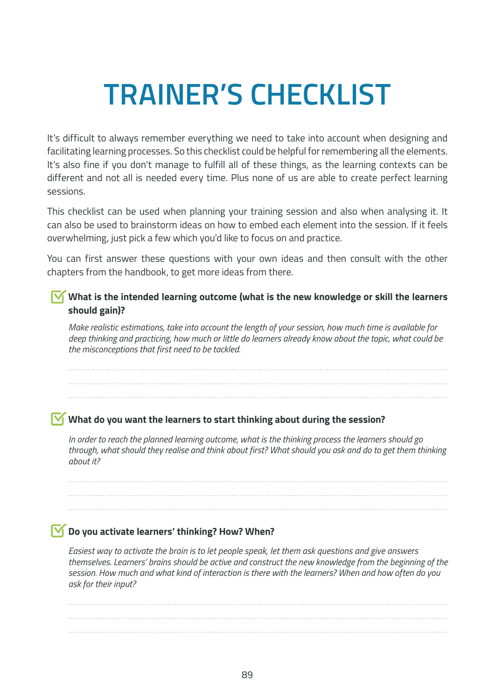# **TRAINER'S CHECKLIST**

It's difficult to always remember everything we need to take into account when designing and facilitating learning processes. So this checklist could be helpful for remembering all the elements. It's also fine if you don't manage to fulfill all of these things, as the learning contexts can be different and not all is needed every time. Plus none of us are able to create perfect learning sessions.

This checklist can be used when planning your training session and also when analysing it. It can also be used to brainstorm ideas on how to embed each element into the session. If it feels overwhelming, just pick a few which you'd like to focus on and practice.

You can first answer these questions with your own ideas and then consult with the other chapters from the handbook, to get more ideas from there.

#### **What is the intended learning outcome (what is the new knowledge or skill the learners should gain)?**

*Make realistic estimations, take into account the length of your session, how much time is available for deep thinking and practicing, how much or little do learners already know about the topic, what could be the misconceptions that first need to be tackled.*

#### **What do you want the learners to start thinking about during the session?**

*In order to reach the planned learning outcome, what is the thinking process the learners should go through, what should they realise and think about first? What should you ask and do to get them thinking about it?*

#### **Do you activate learners' thinking? How? When?**

*Easiest way to activate the brain is to let people speak, let them ask questions and give answers themselves. Learners' brains should be active and construct the new knowledge from the beginning of the session. How much and what kind of interaction is there with the learners? When and how often do you ask for their input?*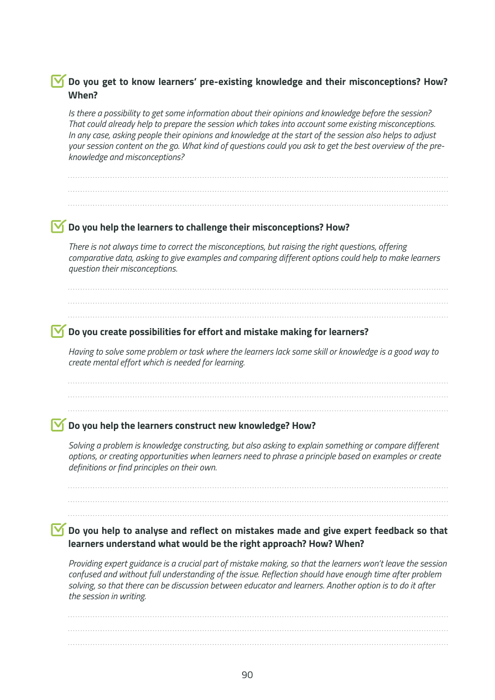#### **Do you get to know learners' pre-existing knowledge and their misconceptions? How? When?**

*Is there a possibility to get some information about their opinions and knowledge before the session? That could already help to prepare the session which takes into account some existing misconceptions. In any case, asking people their opinions and knowledge at the start of the session also helps to adjust your session content on the go. What kind of questions could you ask to get the best overview of the preknowledge and misconceptions?*

#### **Do you help the learners to challenge their misconceptions? How?**

*There is not always time to correct the misconceptions, but raising the right questions, offering comparative data, asking to give examples and comparing different options could help to make learners question their misconceptions.*

#### **Do you create possibilities for effort and mistake making for learners?**

*Having to solve some problem or task where the learners lack some skill or knowledge is a good way to create mental effort which is needed for learning.*

#### **Do you help the learners construct new knowledge? How?**

*Solving a problem is knowledge constructing, but also asking to explain something or compare different options, or creating opportunities when learners need to phrase a principle based on examples or create definitions or find principles on their own.*

#### **Do you help to analyse and reflect on mistakes made and give expert feedback so that learners understand what would be the right approach? How? When?**

*Providing expert guidance is a crucial part of mistake making, so that the learners won't leave the session confused and without full understanding of the issue. Reflection should have enough time after problem solving, so that there can be discussion between educator and learners. Another option is to do it after the session in writing.*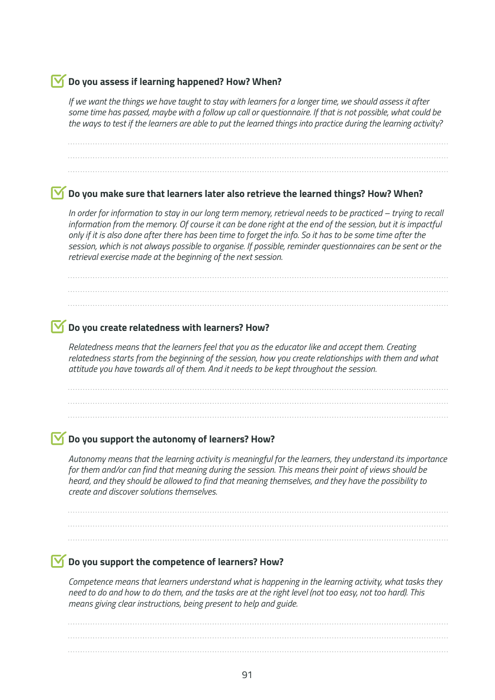#### **Do you assess if learning happened? How? When?**

*If we want the things we have taught to stay with learners for a longer time, we should assess it after some time has passed, maybe with a follow up call or questionnaire. If that is not possible, what could be the ways to test if the learners are able to put the learned things into practice during the learning activity?*

#### **Do you make sure that learners later also retrieve the learned things? How? When?**

*In order for information to stay in our long term memory, retrieval needs to be practiced – trying to recall information from the memory. Of course it can be done right at the end of the session, but it is impactful only if it is also done after there has been time to forget the info. So it has to be some time after the session, which is not always possible to organise. If possible, reminder questionnaires can be sent or the retrieval exercise made at the beginning of the next session.*

#### **Do you create relatedness with learners? How?**

*Relatedness means that the learners feel that you as the educator like and accept them. Creating relatedness starts from the beginning of the session, how you create relationships with them and what attitude you have towards all of them. And it needs to be kept throughout the session.*

#### **Do you support the autonomy of learners? How?**

*Autonomy means that the learning activity is meaningful for the learners, they understand its importance for them and/or can find that meaning during the session. This means their point of views should be heard, and they should be allowed to find that meaning themselves, and they have the possibility to create and discover solutions themselves.*

#### **Do you support the competence of learners? How?**

*Competence means that learners understand what is happening in the learning activity, what tasks they need to do and how to do them, and the tasks are at the right level (not too easy, not too hard). This means giving clear instructions, being present to help and guide.*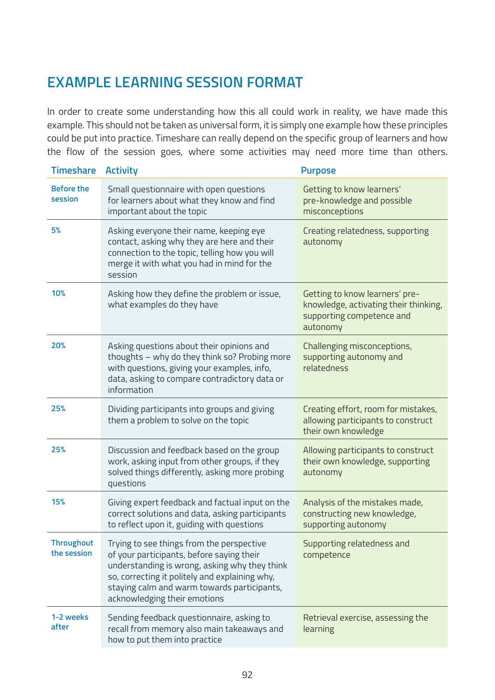## **EXAMPLE LEARNING SESSION FORMAT**

In order to create some understanding how this all could work in reality, we have made this example. This should not be taken as universal form, it is simply one example how these principles could be put into practice. Timeshare can really depend on the specific group of learners and how the flow of the session goes, where some activities may need more time than others.

| <b>Timeshare</b>                 | <b>Activity</b>                                                                                                                                                                                                                                                          | <b>Purpose</b>                                                                                                   |
|----------------------------------|--------------------------------------------------------------------------------------------------------------------------------------------------------------------------------------------------------------------------------------------------------------------------|------------------------------------------------------------------------------------------------------------------|
| <b>Before the</b><br>session     | Small questionnaire with open questions<br>for learners about what they know and find<br>important about the topic                                                                                                                                                       | Getting to know learners'<br>pre-knowledge and possible<br>misconceptions                                        |
| 5%                               | Asking everyone their name, keeping eye<br>contact, asking why they are here and their<br>connection to the topic, telling how you will<br>merge it with what you had in mind for the<br>session                                                                         | Creating relatedness, supporting<br>autonomy                                                                     |
| 10%                              | Asking how they define the problem or issue,<br>what examples do they have                                                                                                                                                                                               | Getting to know learners' pre-<br>knowledge, activating their thinking,<br>supporting competence and<br>autonomy |
| 20%                              | Asking questions about their opinions and<br>thoughts - why do they think so? Probing more<br>with questions, giving your examples, info,<br>data, asking to compare contradictory data or<br>information                                                                | Challenging misconceptions,<br>supporting autonomy and<br>relatedness                                            |
| 25%                              | Dividing participants into groups and giving<br>them a problem to solve on the topic                                                                                                                                                                                     | Creating effort, room for mistakes,<br>allowing participants to construct<br>their own knowledge                 |
| 25%                              | Discussion and feedback based on the group<br>work, asking input from other groups, if they<br>solved things differently, asking more probing<br>questions                                                                                                               | Allowing participants to construct<br>their own knowledge, supporting<br>autonomy                                |
| 15%                              | Giving expert feedback and factual input on the<br>correct solutions and data, asking participants<br>to reflect upon it, guiding with questions                                                                                                                         | Analysis of the mistakes made,<br>constructing new knowledge,<br>supporting autonomy                             |
| <b>Throughout</b><br>the session | Trying to see things from the perspective<br>of your participants, before saying their<br>understanding is wrong, asking why they think<br>so, correcting it politely and explaining why,<br>staying calm and warm towards participants,<br>acknowledging their emotions | Supporting relatedness and<br>competence                                                                         |
| 1-2 weeks<br>after               | Sending feedback questionnaire, asking to<br>recall from memory also main takeaways and<br>how to put them into practice                                                                                                                                                 | Retrieval exercise, assessing the<br>learning                                                                    |